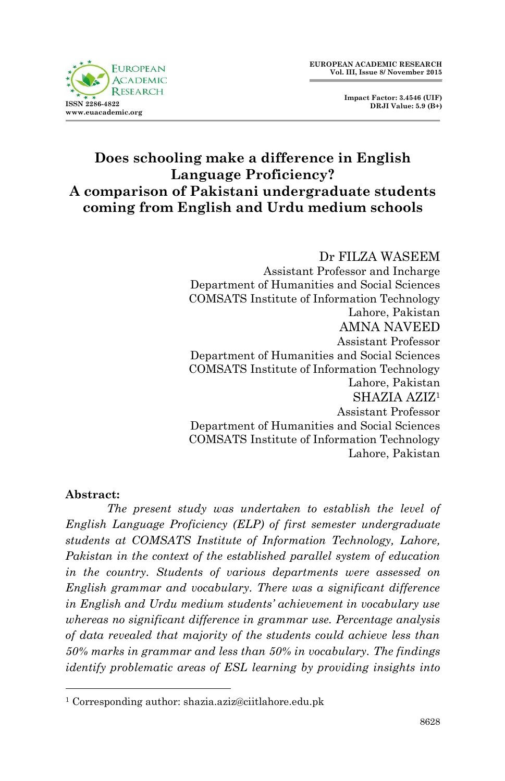

 **Impact Factor: 3.4546 (UIF) DRJI Value: 5.9 (B+)**

# **Does schooling make a difference in English Language Proficiency? A comparison of Pakistani undergraduate students coming from English and Urdu medium schools**

Dr FILZA WASEEM Assistant Professor and Incharge Department of Humanities and Social Sciences COMSATS Institute of Information Technology Lahore, Pakistan AMNA NAVEED Assistant Professor Department of Humanities and Social Sciences COMSATS Institute of Information Technology Lahore, Pakistan SHAZIA AZIZ<sup>1</sup> Assistant Professor Department of Humanities and Social Sciences COMSATS Institute of Information Technology Lahore, Pakistan

#### **Abstract:**

1

*The present study was undertaken to establish the level of English Language Proficiency (ELP) of first semester undergraduate students at COMSATS Institute of Information Technology, Lahore, Pakistan in the context of the established parallel system of education in the country. Students of various departments were assessed on English grammar and vocabulary. There was a significant difference in English and Urdu medium students' achievement in vocabulary use whereas no significant difference in grammar use. Percentage analysis of data revealed that majority of the students could achieve less than 50% marks in grammar and less than 50% in vocabulary. The findings identify problematic areas of ESL learning by providing insights into* 

<sup>1</sup> Corresponding author: shazia.aziz@ciitlahore.edu.pk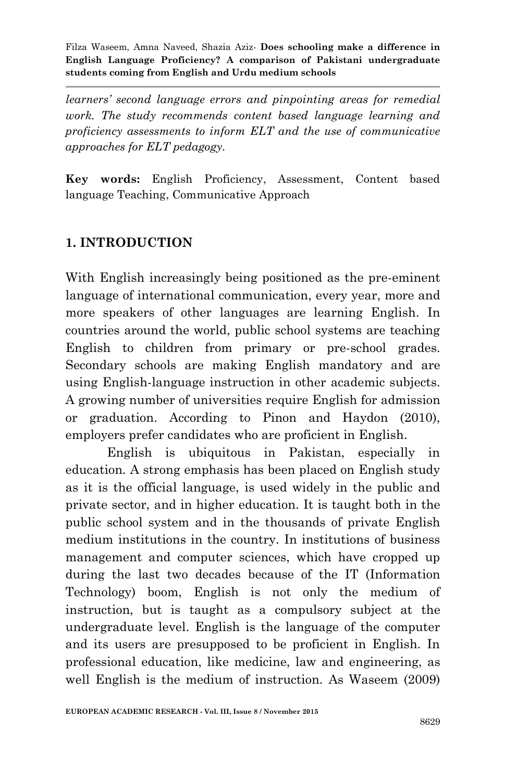*learners' second language errors and pinpointing areas for remedial work. The study recommends content based language learning and proficiency assessments to inform ELT and the use of communicative approaches for ELT pedagogy.*

**Key words:** English Proficiency, Assessment, Content based language Teaching, Communicative Approach

# **1. INTRODUCTION**

With English increasingly being positioned as the pre-eminent language of international communication, every year, more and more speakers of other languages are learning English. In countries around the world, public school systems are teaching English to children from primary or pre-school grades. Secondary schools are making English mandatory and are using English-language instruction in other academic subjects. A growing number of universities require English for admission or graduation. According to Pinon and Haydon (2010), employers prefer candidates who are proficient in English.

English is ubiquitous in Pakistan, especially in education. A strong emphasis has been placed on English study as it is the official language, is used widely in the public and private sector, and in higher education. It is taught both in the public school system and in the thousands of private English medium institutions in the country. In institutions of business management and computer sciences, which have cropped up during the last two decades because of the IT (Information Technology) boom, English is not only the medium of instruction, but is taught as a compulsory subject at the undergraduate level. English is the language of the computer and its users are presupposed to be proficient in English. In professional education, like medicine, law and engineering, as well English is the medium of instruction. As Waseem (2009)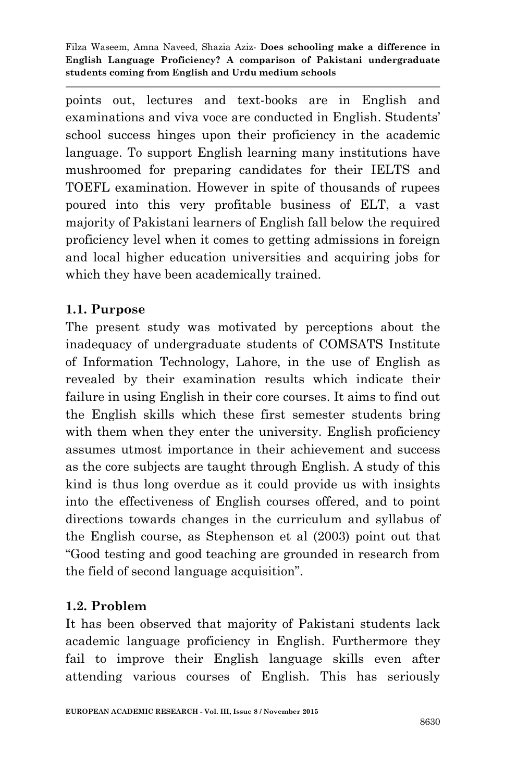points out, lectures and text-books are in English and examinations and viva voce are conducted in English. Students' school success hinges upon their proficiency in the academic language. To support English learning many institutions have mushroomed for preparing candidates for their IELTS and TOEFL examination. However in spite of thousands of rupees poured into this very profitable business of ELT, a vast majority of Pakistani learners of English fall below the required proficiency level when it comes to getting admissions in foreign and local higher education universities and acquiring jobs for which they have been academically trained.

## **1.1. Purpose**

The present study was motivated by perceptions about the inadequacy of undergraduate students of COMSATS Institute of Information Technology, Lahore, in the use of English as revealed by their examination results which indicate their failure in using English in their core courses. It aims to find out the English skills which these first semester students bring with them when they enter the university. English proficiency assumes utmost importance in their achievement and success as the core subjects are taught through English. A study of this kind is thus long overdue as it could provide us with insights into the effectiveness of English courses offered, and to point directions towards changes in the curriculum and syllabus of the English course, as Stephenson et al (2003) point out that "Good testing and good teaching are grounded in research from the field of second language acquisition".

### **1.2. Problem**

It has been observed that majority of Pakistani students lack academic language proficiency in English. Furthermore they fail to improve their English language skills even after attending various courses of English. This has seriously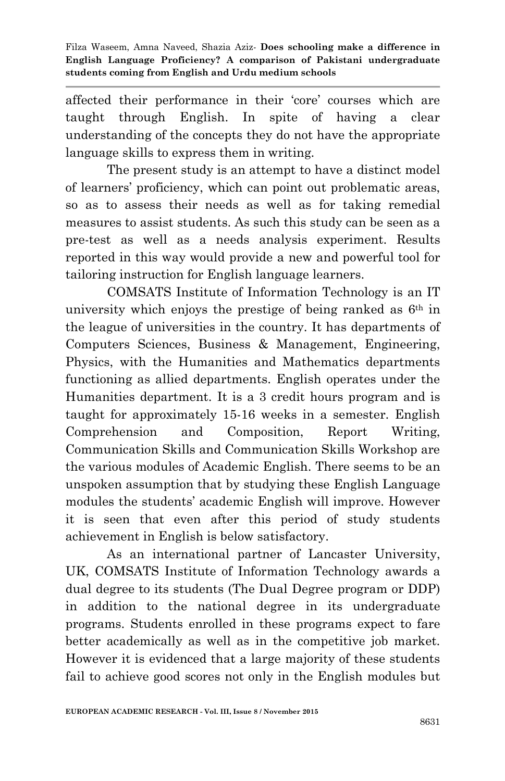affected their performance in their "core" courses which are taught through English. In spite of having a clear understanding of the concepts they do not have the appropriate language skills to express them in writing.

The present study is an attempt to have a distinct model of learners" proficiency, which can point out problematic areas, so as to assess their needs as well as for taking remedial measures to assist students. As such this study can be seen as a pre-test as well as a needs analysis experiment. Results reported in this way would provide a new and powerful tool for tailoring instruction for English language learners.

COMSATS Institute of Information Technology is an IT university which enjoys the prestige of being ranked as 6<sup>th</sup> in the league of universities in the country. It has departments of Computers Sciences, Business & Management, Engineering, Physics, with the Humanities and Mathematics departments functioning as allied departments. English operates under the Humanities department. It is a 3 credit hours program and is taught for approximately 15-16 weeks in a semester. English Comprehension and Composition, Report Writing, Communication Skills and Communication Skills Workshop are the various modules of Academic English. There seems to be an unspoken assumption that by studying these English Language modules the students" academic English will improve. However it is seen that even after this period of study students achievement in English is below satisfactory.

As an international partner of Lancaster University, UK, COMSATS Institute of Information Technology awards a dual degree to its students (The Dual Degree program or DDP) in addition to the national degree in its undergraduate programs. Students enrolled in these programs expect to fare better academically as well as in the competitive job market. However it is evidenced that a large majority of these students fail to achieve good scores not only in the English modules but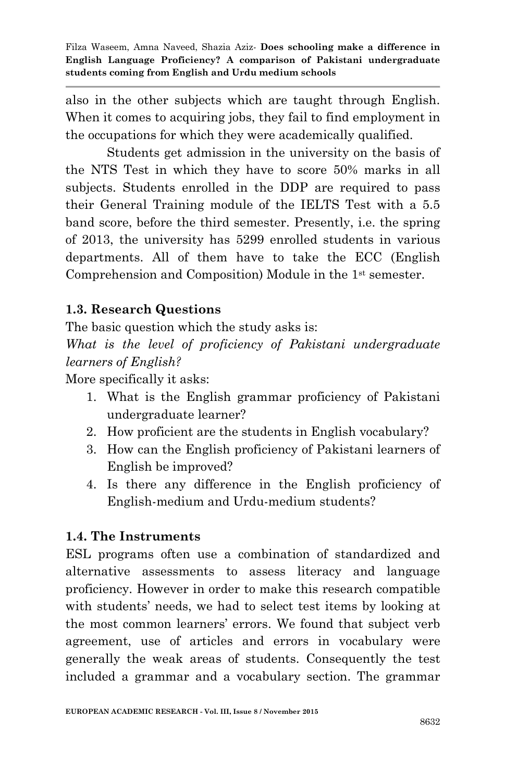also in the other subjects which are taught through English. When it comes to acquiring jobs, they fail to find employment in the occupations for which they were academically qualified.

Students get admission in the university on the basis of the NTS Test in which they have to score 50% marks in all subjects. Students enrolled in the DDP are required to pass their General Training module of the IELTS Test with a 5.5 band score, before the third semester. Presently, i.e. the spring of 2013, the university has 5299 enrolled students in various departments. All of them have to take the ECC (English Comprehension and Composition) Module in the 1st semester.

# **1.3. Research Questions**

The basic question which the study asks is:

*What is the level of proficiency of Pakistani undergraduate learners of English?*

More specifically it asks:

- 1. What is the English grammar proficiency of Pakistani undergraduate learner?
- 2. How proficient are the students in English vocabulary?
- 3. How can the English proficiency of Pakistani learners of English be improved?
- 4. Is there any difference in the English proficiency of English-medium and Urdu-medium students?

# **1.4. The Instruments**

ESL programs often use a combination of standardized and alternative assessments to assess literacy and language proficiency. However in order to make this research compatible with students' needs, we had to select test items by looking at the most common learners" errors. We found that subject verb agreement, use of articles and errors in vocabulary were generally the weak areas of students. Consequently the test included a grammar and a vocabulary section. The grammar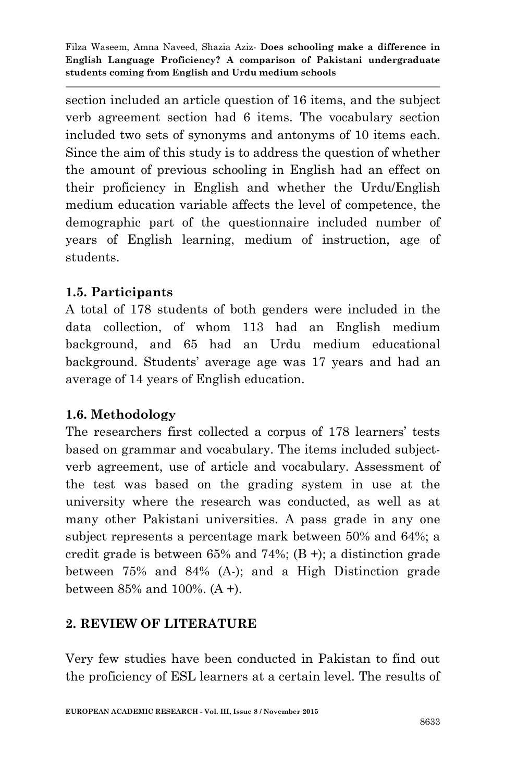section included an article question of 16 items, and the subject verb agreement section had 6 items. The vocabulary section included two sets of synonyms and antonyms of 10 items each. Since the aim of this study is to address the question of whether the amount of previous schooling in English had an effect on their proficiency in English and whether the Urdu/English medium education variable affects the level of competence, the demographic part of the questionnaire included number of years of English learning, medium of instruction, age of students.

## **1.5. Participants**

A total of 178 students of both genders were included in the data collection, of whom 113 had an English medium background, and 65 had an Urdu medium educational background. Students" average age was 17 years and had an average of 14 years of English education.

### **1.6. Methodology**

The researchers first collected a corpus of 178 learners' tests based on grammar and vocabulary. The items included subjectverb agreement, use of article and vocabulary. Assessment of the test was based on the grading system in use at the university where the research was conducted, as well as at many other Pakistani universities. A pass grade in any one subject represents a percentage mark between 50% and 64%; a credit grade is between  $65\%$  and  $74\%$ ; (B +); a distinction grade between 75% and 84% (A-); and a High Distinction grade between 85% and 100%. (A +).

# **2. REVIEW OF LITERATURE**

Very few studies have been conducted in Pakistan to find out the proficiency of ESL learners at a certain level. The results of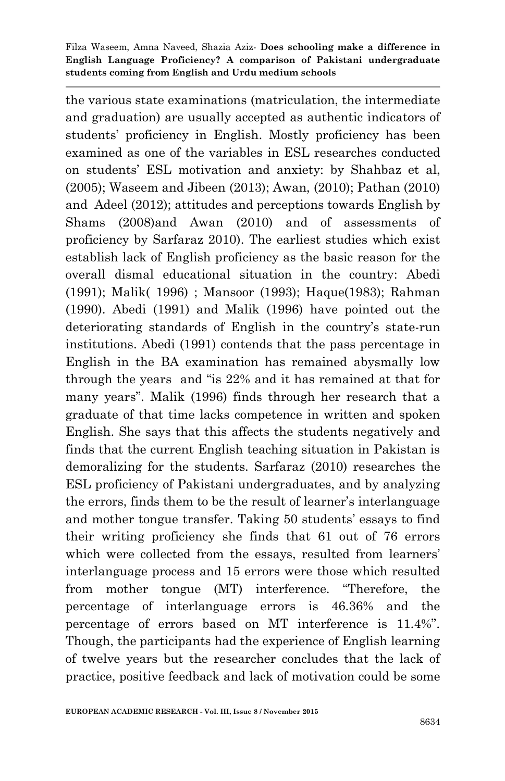the various state examinations (matriculation, the intermediate and graduation) are usually accepted as authentic indicators of students" proficiency in English. Mostly proficiency has been examined as one of the variables in ESL researches conducted on students" ESL motivation and anxiety: by Shahbaz et al, (2005); Waseem and Jibeen (2013); Awan, (2010); Pathan (2010) and Adeel (2012); attitudes and perceptions towards English by Shams (2008)and Awan (2010) and of assessments of proficiency by Sarfaraz 2010). The earliest studies which exist establish lack of English proficiency as the basic reason for the overall dismal educational situation in the country: Abedi (1991); Malik( 1996) ; Mansoor (1993); Haque(1983); Rahman (1990). Abedi (1991) and Malik (1996) have pointed out the deteriorating standards of English in the country's state-run institutions. Abedi (1991) contends that the pass percentage in English in the BA examination has remained abysmally low through the years and "is 22% and it has remained at that for many years". Malik (1996) finds through her research that a graduate of that time lacks competence in written and spoken English. She says that this affects the students negatively and finds that the current English teaching situation in Pakistan is demoralizing for the students. Sarfaraz (2010) researches the ESL proficiency of Pakistani undergraduates, and by analyzing the errors, finds them to be the result of learner"s interlanguage and mother tongue transfer. Taking 50 students' essays to find their writing proficiency she finds that 61 out of 76 errors which were collected from the essays, resulted from learners' interlanguage process and 15 errors were those which resulted from mother tongue (MT) interference. "Therefore, the percentage of interlanguage errors is 46.36% and the percentage of errors based on MT interference is 11.4%". Though, the participants had the experience of English learning of twelve years but the researcher concludes that the lack of practice, positive feedback and lack of motivation could be some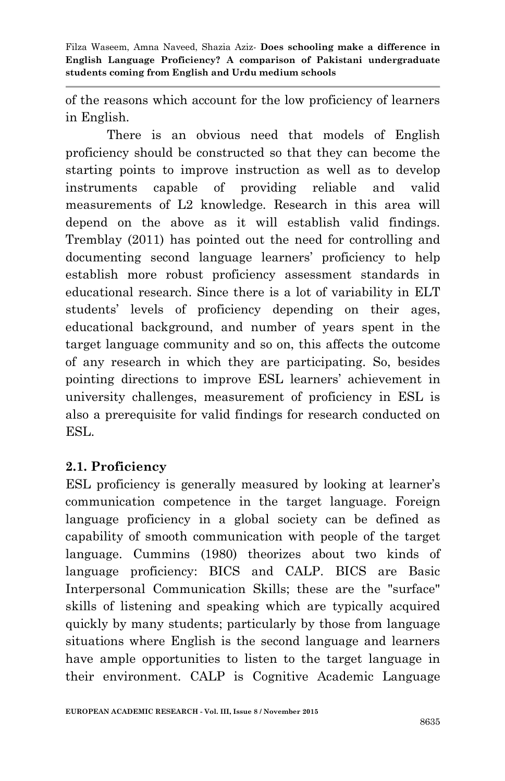of the reasons which account for the low proficiency of learners in English.

There is an obvious need that models of English proficiency should be constructed so that they can become the starting points to improve instruction as well as to develop instruments capable of providing reliable and valid measurements of L2 knowledge. Research in this area will depend on the above as it will establish valid findings. Tremblay (2011) has pointed out the need for controlling and documenting second language learners" proficiency to help establish more robust proficiency assessment standards in educational research. Since there is a lot of variability in ELT students" levels of proficiency depending on their ages, educational background, and number of years spent in the target language community and so on, this affects the outcome of any research in which they are participating. So, besides pointing directions to improve ESL learners" achievement in university challenges, measurement of proficiency in ESL is also a prerequisite for valid findings for research conducted on ESL.

### **2.1. Proficiency**

ESL proficiency is generally measured by looking at learner's communication competence in the target language. Foreign language proficiency in a global society can be defined as capability of smooth communication with people of the target language. Cummins (1980) theorizes about two kinds of language proficiency: BICS and CALP. BICS are Basic Interpersonal Communication Skills; these are the "surface" skills of listening and speaking which are typically acquired quickly by many students; particularly by those from language situations where English is the second language and learners have ample opportunities to listen to the target language in their environment. CALP is Cognitive Academic Language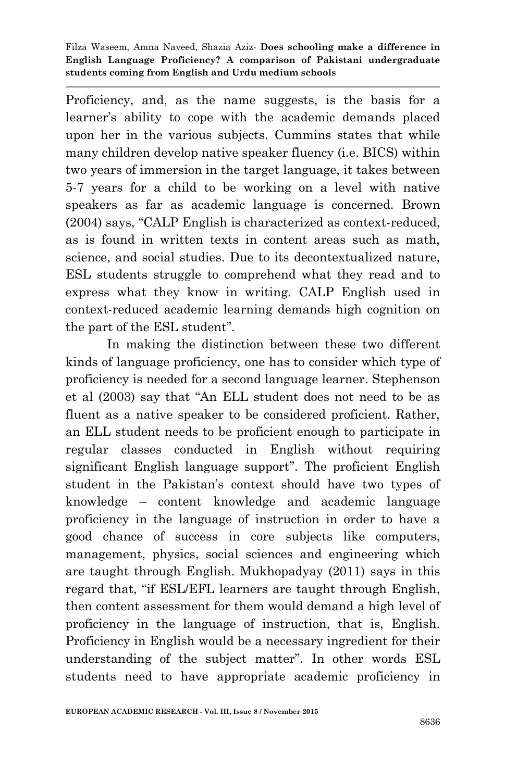Proficiency, and, as the name suggests, is the basis for a learner's ability to cope with the academic demands placed upon her in the various subjects. Cummins states that while many children develop native speaker fluency (i.e. BICS) within two years of immersion in the target language, it takes between 5-7 years for a child to be working on a level with native speakers as far as academic language is concerned. Brown (2004) says, "CALP English is characterized as context-reduced, as is found in written texts in content areas such as math, science, and social studies. Due to its decontextualized nature, ESL students struggle to comprehend what they read and to express what they know in writing. CALP English used in context-reduced academic learning demands high cognition on the part of the ESL student".

In making the distinction between these two different kinds of language proficiency, one has to consider which type of proficiency is needed for a second language learner. Stephenson et al (2003) say that "An ELL student does not need to be as fluent as a native speaker to be considered proficient. Rather, an ELL student needs to be proficient enough to participate in regular classes conducted in English without requiring significant English language support". The proficient English student in the Pakistan"s context should have two types of knowledge – content knowledge and academic language proficiency in the language of instruction in order to have a good chance of success in core subjects like computers, management, physics, social sciences and engineering which are taught through English. Mukhopadyay (2011) says in this regard that, "if ESL/EFL learners are taught through English, then content assessment for them would demand a high level of proficiency in the language of instruction, that is, English. Proficiency in English would be a necessary ingredient for their understanding of the subject matter". In other words ESL students need to have appropriate academic proficiency in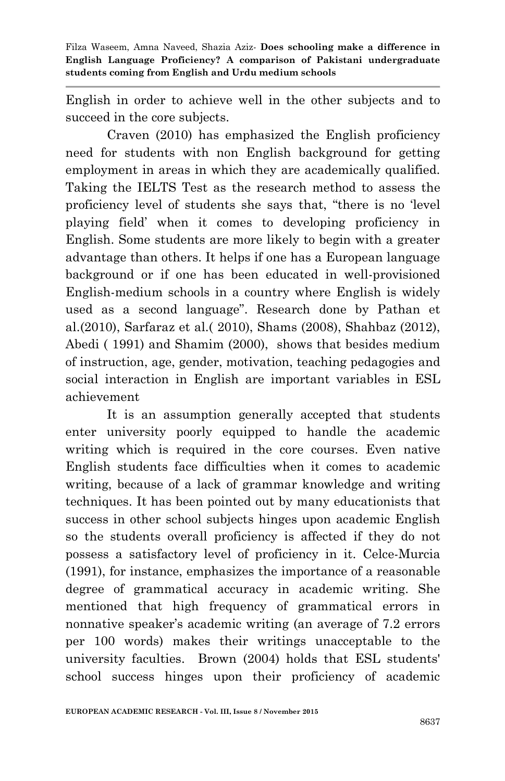English in order to achieve well in the other subjects and to succeed in the core subjects.

Craven (2010) has emphasized the English proficiency need for students with non English background for getting employment in areas in which they are academically qualified. Taking the IELTS Test as the research method to assess the proficiency level of students she says that, "there is no "level playing field" when it comes to developing proficiency in English. Some students are more likely to begin with a greater advantage than others. It helps if one has a European language background or if one has been educated in well-provisioned English-medium schools in a country where English is widely used as a second language". Research done by Pathan et al.(2010), Sarfaraz et al.( 2010), Shams (2008), Shahbaz (2012), Abedi ( 1991) and Shamim (2000), shows that besides medium of instruction, age, gender, motivation, teaching pedagogies and social interaction in English are important variables in ESL achievement

It is an assumption generally accepted that students enter university poorly equipped to handle the academic writing which is required in the core courses. Even native English students face difficulties when it comes to academic writing, because of a lack of grammar knowledge and writing techniques. It has been pointed out by many educationists that success in other school subjects hinges upon academic English so the students overall proficiency is affected if they do not possess a satisfactory level of proficiency in it. Celce-Murcia (1991), for instance, emphasizes the importance of a reasonable degree of grammatical accuracy in academic writing. She mentioned that high frequency of grammatical errors in nonnative speaker's academic writing (an average of 7.2 errors per 100 words) makes their writings unacceptable to the university faculties. Brown (2004) holds that ESL students' school success hinges upon their proficiency of academic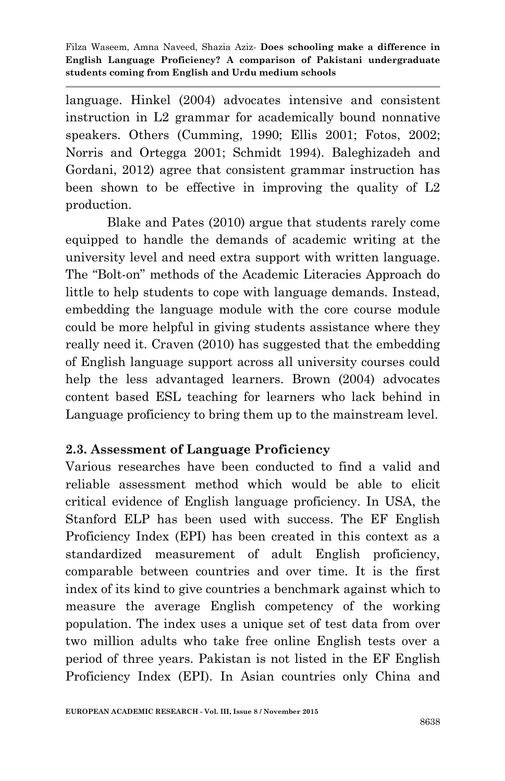language. Hinkel (2004) advocates intensive and consistent instruction in L2 grammar for academically bound nonnative speakers. Others (Cumming, 1990; Ellis 2001; Fotos, 2002; Norris and Ortegga 2001; Schmidt 1994). Baleghizadeh and Gordani, 2012) agree that consistent grammar instruction has been shown to be effective in improving the quality of L2 production.

Blake and Pates (2010) argue that students rarely come equipped to handle the demands of academic writing at the university level and need extra support with written language. The "Bolt-on" methods of the Academic Literacies Approach do little to help students to cope with language demands. Instead, embedding the language module with the core course module could be more helpful in giving students assistance where they really need it. Craven (2010) has suggested that the embedding of English language support across all university courses could help the less advantaged learners. Brown (2004) advocates content based ESL teaching for learners who lack behind in Language proficiency to bring them up to the mainstream level.

# **2.3. Assessment of Language Proficiency**

Various researches have been conducted to find a valid and reliable assessment method which would be able to elicit critical evidence of English language proficiency. In USA, the Stanford ELP has been used with success. The EF English Proficiency Index (EPI) has been created in this context as a standardized measurement of adult English proficiency, comparable between countries and over time. It is the first index of its kind to give countries a benchmark against which to measure the average English competency of the working population. The index uses a unique set of test data from over two million adults who take free online English tests over a period of three years. Pakistan is not listed in the EF English Proficiency Index (EPI). In Asian countries only China and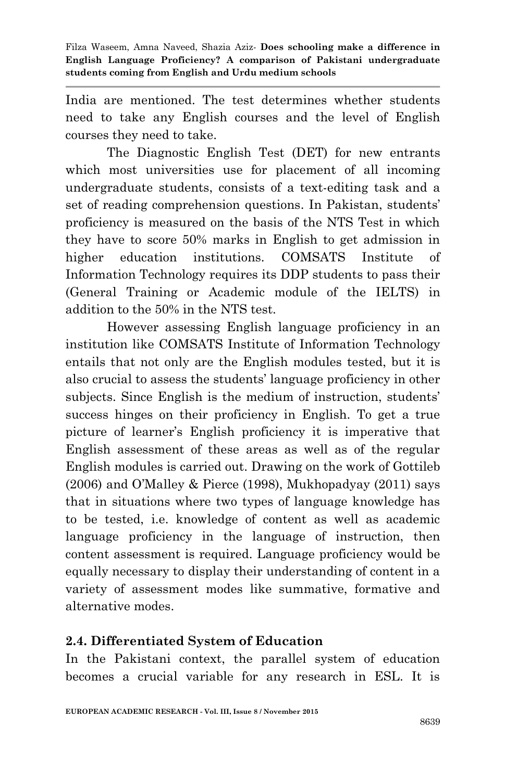India are mentioned. The test determines whether students need to take any English courses and the level of English courses they need to take.

The Diagnostic English Test (DET) for new entrants which most universities use for placement of all incoming undergraduate students, consists of a text-editing task and a set of reading comprehension questions. In Pakistan, students' proficiency is measured on the basis of the NTS Test in which they have to score 50% marks in English to get admission in higher education institutions. COMSATS Institute of Information Technology requires its DDP students to pass their (General Training or Academic module of the IELTS) in addition to the 50% in the NTS test.

However assessing English language proficiency in an institution like COMSATS Institute of Information Technology entails that not only are the English modules tested, but it is also crucial to assess the students" language proficiency in other subjects. Since English is the medium of instruction, students' success hinges on their proficiency in English. To get a true picture of learner"s English proficiency it is imperative that English assessment of these areas as well as of the regular English modules is carried out. Drawing on the work of Gottileb (2006) and O"Malley & Pierce (1998), Mukhopadyay (2011) says that in situations where two types of language knowledge has to be tested, i.e. knowledge of content as well as academic language proficiency in the language of instruction, then content assessment is required. Language proficiency would be equally necessary to display their understanding of content in a variety of assessment modes like summative, formative and alternative modes.

### **2.4. Differentiated System of Education**

In the Pakistani context, the parallel system of education becomes a crucial variable for any research in ESL. It is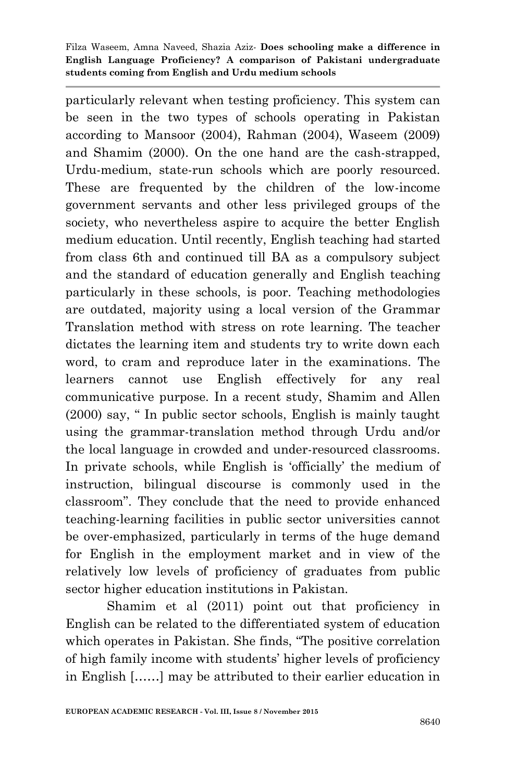particularly relevant when testing proficiency. This system can be seen in the two types of schools operating in Pakistan according to Mansoor (2004), Rahman (2004), Waseem (2009) and Shamim (2000). On the one hand are the cash-strapped, Urdu-medium, state-run schools which are poorly resourced. These are frequented by the children of the low-income government servants and other less privileged groups of the society, who nevertheless aspire to acquire the better English medium education. Until recently, English teaching had started from class 6th and continued till BA as a compulsory subject and the standard of education generally and English teaching particularly in these schools, is poor. Teaching methodologies are outdated, majority using a local version of the Grammar Translation method with stress on rote learning. The teacher dictates the learning item and students try to write down each word, to cram and reproduce later in the examinations. The learners cannot use English effectively for any real communicative purpose. In a recent study, Shamim and Allen (2000) say, " In public sector schools, English is mainly taught using the grammar-translation method through Urdu and/or the local language in crowded and under-resourced classrooms. In private schools, while English is "officially" the medium of instruction, bilingual discourse is commonly used in the classroom". They conclude that the need to provide enhanced teaching-learning facilities in public sector universities cannot be over-emphasized, particularly in terms of the huge demand for English in the employment market and in view of the relatively low levels of proficiency of graduates from public sector higher education institutions in Pakistan.

Shamim et al (2011) point out that proficiency in English can be related to the differentiated system of education which operates in Pakistan. She finds, "The positive correlation of high family income with students" higher levels of proficiency in English [……] may be attributed to their earlier education in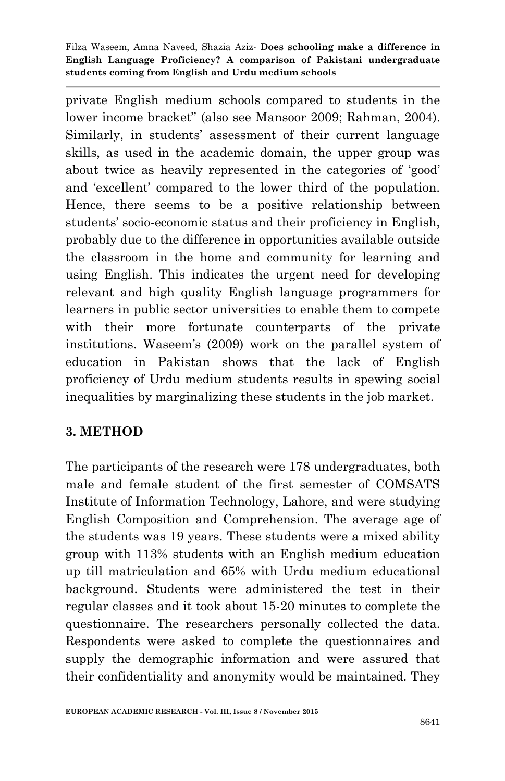private English medium schools compared to students in the lower income bracket" (also see Mansoor 2009; Rahman, 2004). Similarly, in students" assessment of their current language skills, as used in the academic domain, the upper group was about twice as heavily represented in the categories of "good" and "excellent" compared to the lower third of the population. Hence, there seems to be a positive relationship between students" socio-economic status and their proficiency in English, probably due to the difference in opportunities available outside the classroom in the home and community for learning and using English. This indicates the urgent need for developing relevant and high quality English language programmers for learners in public sector universities to enable them to compete with their more fortunate counterparts of the private institutions. Waseem"s (2009) work on the parallel system of education in Pakistan shows that the lack of English proficiency of Urdu medium students results in spewing social inequalities by marginalizing these students in the job market.

### **3. METHOD**

The participants of the research were 178 undergraduates, both male and female student of the first semester of COMSATS Institute of Information Technology, Lahore, and were studying English Composition and Comprehension. The average age of the students was 19 years. These students were a mixed ability group with 113% students with an English medium education up till matriculation and 65% with Urdu medium educational background. Students were administered the test in their regular classes and it took about 15-20 minutes to complete the questionnaire. The researchers personally collected the data. Respondents were asked to complete the questionnaires and supply the demographic information and were assured that their confidentiality and anonymity would be maintained. They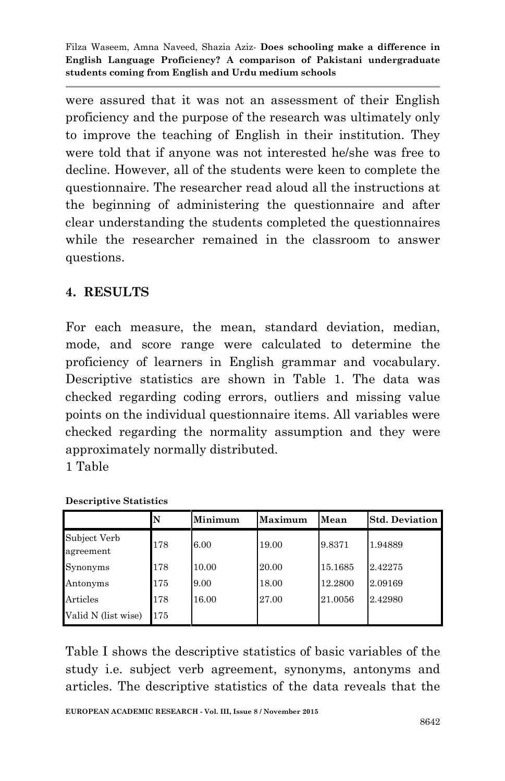were assured that it was not an assessment of their English proficiency and the purpose of the research was ultimately only to improve the teaching of English in their institution. They were told that if anyone was not interested he/she was free to decline. However, all of the students were keen to complete the questionnaire. The researcher read aloud all the instructions at the beginning of administering the questionnaire and after clear understanding the students completed the questionnaires while the researcher remained in the classroom to answer questions.

# **4. RESULTS**

For each measure, the mean, standard deviation, median, mode, and score range were calculated to determine the proficiency of learners in English grammar and vocabulary. Descriptive statistics are shown in Table 1. The data was checked regarding coding errors, outliers and missing value points on the individual questionnaire items. All variables were checked regarding the normality assumption and they were approximately normally distributed. 1 Table

| <b>Descriptive Statistics</b> |    |         |         |        |                       |  |  |
|-------------------------------|----|---------|---------|--------|-----------------------|--|--|
|                               |    | Minimum | Maximum | Mean   | <b>Std. Deviation</b> |  |  |
| Subject Verb                  | 78 | 6.00    | 19.00   | 9.8371 | 1.94889               |  |  |

Valid N (list wise) 175

agreement

| Table I shows the descriptive statistics of basic variables of the |  |
|--------------------------------------------------------------------|--|
| study <i>i.e.</i> subject verb agreement, synonyms, antonyms and   |  |
| articles. The descriptive statistics of the data reveals that the  |  |

Synonyms 178 10.00 20.00 15.1685 2.42275 Antonyms 175 9.00 18.00 12.2800 2.09169 Articles 178 16.00 27.00 21.0056 2.42980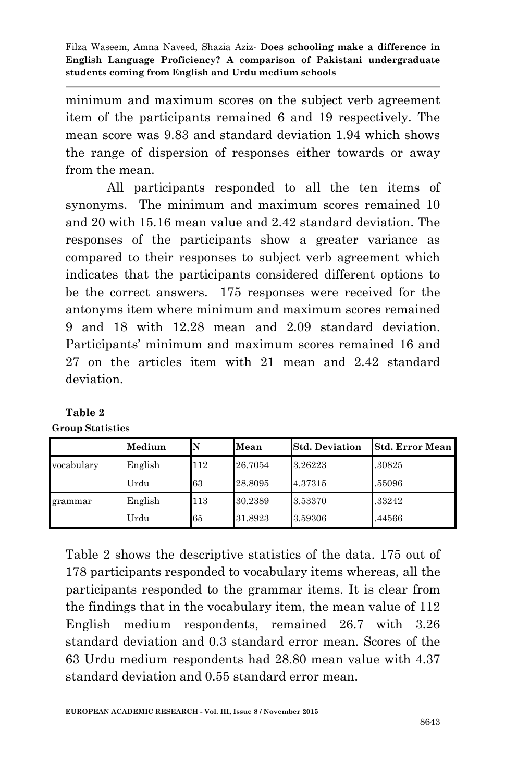minimum and maximum scores on the subject verb agreement item of the participants remained 6 and 19 respectively. The mean score was 9.83 and standard deviation 1.94 which shows the range of dispersion of responses either towards or away from the mean.

All participants responded to all the ten items of synonyms. The minimum and maximum scores remained 10 and 20 with 15.16 mean value and 2.42 standard deviation. The responses of the participants show a greater variance as compared to their responses to subject verb agreement which indicates that the participants considered different options to be the correct answers. 175 responses were received for the antonyms item where minimum and maximum scores remained 9 and 18 with 12.28 mean and 2.09 standard deviation. Participants' minimum and maximum scores remained 16 and 27 on the articles item with 21 mean and 2.42 standard deviation.

|            | Medium  | N   | Mean    | <b>Std. Deviation</b> | <b>Std. Error Mean</b> |
|------------|---------|-----|---------|-----------------------|------------------------|
| vocabulary | English | 112 | 26.7054 | 3.26223               | .30825                 |
|            | Urdu    | 63  | 28.8095 | 4.37315               | .55096                 |
| grammar    | English | 113 | 30.2389 | 3.53370               | .33242                 |
|            | Urdu    | 65  | 31.8923 | 3.59306               | .44566                 |

**Table 2 Group Statistics**

> Table 2 shows the descriptive statistics of the data. 175 out of 178 participants responded to vocabulary items whereas, all the participants responded to the grammar items. It is clear from the findings that in the vocabulary item, the mean value of 112 English medium respondents, remained 26.7 with 3.26 standard deviation and 0.3 standard error mean. Scores of the 63 Urdu medium respondents had 28.80 mean value with 4.37 standard deviation and 0.55 standard error mean.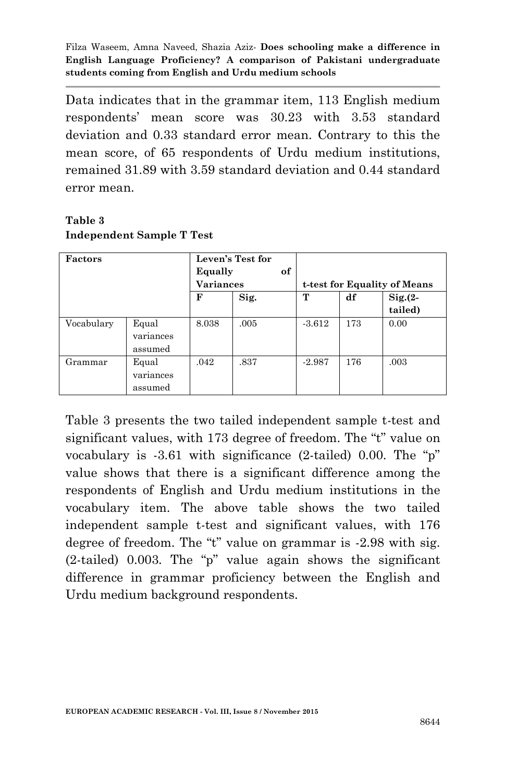Data indicates that in the grammar item, 113 English medium respondents" mean score was 30.23 with 3.53 standard deviation and 0.33 standard error mean. Contrary to this the mean score, of 65 respondents of Urdu medium institutions, remained 31.89 with 3.59 standard deviation and 0.44 standard error mean.

| <b>Factors</b> |                               | Equally          | Leven's Test for<br>of |                              |     |           |
|----------------|-------------------------------|------------------|------------------------|------------------------------|-----|-----------|
|                |                               | <b>Variances</b> |                        | t-test for Equality of Means |     |           |
|                |                               | F                | Sig.                   | т                            | df  | $Sig(2 -$ |
|                |                               |                  |                        |                              |     | tailed)   |
| Vocabulary     | Equal<br>variances<br>assumed | 8.038            | .005                   | $-3.612$                     | 173 | 0.00      |
| Grammar        | Equal<br>variances<br>assumed | .042             | .837                   | $-2.987$                     | 176 | .003      |

#### **Table 3 Independent Sample T Test**

Table 3 presents the two tailed independent sample t-test and significant values, with 173 degree of freedom. The "t" value on vocabulary is -3.61 with significance (2-tailed) 0.00. The "p" value shows that there is a significant difference among the respondents of English and Urdu medium institutions in the vocabulary item. The above table shows the two tailed independent sample t-test and significant values, with 176 degree of freedom. The "t" value on grammar is -2.98 with sig. (2-tailed) 0.003. The "p" value again shows the significant difference in grammar proficiency between the English and Urdu medium background respondents.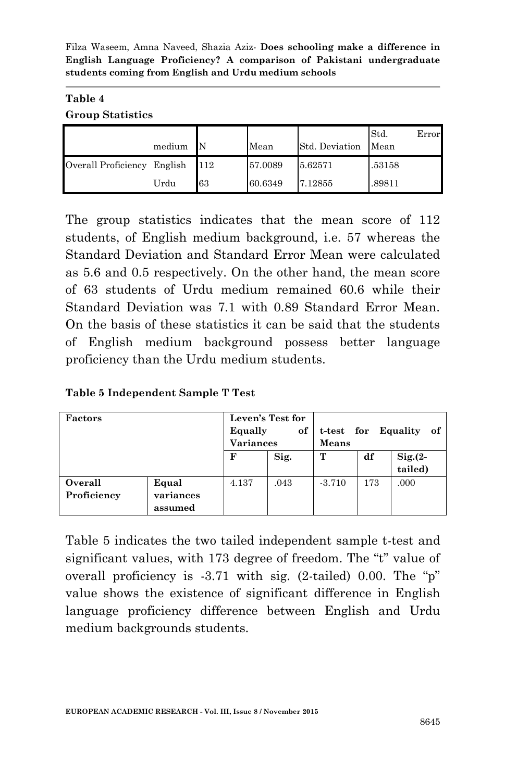#### **Table 4 Group Statistics**

|                             | medium |     | Mean    | Std. Deviation | Std.<br>Mean | Error |
|-----------------------------|--------|-----|---------|----------------|--------------|-------|
| Overall Proficiency English |        | 112 | 57.0089 | 5.62571        | .53158       |       |
|                             | Urdu   | 63  | 60.6349 | 7.12855        | .89811       |       |

The group statistics indicates that the mean score of 112 students, of English medium background, i.e. 57 whereas the Standard Deviation and Standard Error Mean were calculated as 5.6 and 0.5 respectively. On the other hand, the mean score of 63 students of Urdu medium remained 60.6 while their Standard Deviation was 7.1 with 0.89 Standard Error Mean. On the basis of these statistics it can be said that the students of English medium background possess better language proficiency than the Urdu medium students.

**Table 5 Independent Sample T Test**

| <b>Factors</b>         |                               | Leven's Test for<br>Equally<br><b>Variances</b> | of   | t-test for Equality<br>of.<br>Means |     |                    |
|------------------------|-------------------------------|-------------------------------------------------|------|-------------------------------------|-----|--------------------|
|                        |                               | F                                               | Sig. | т                                   | df  | Sig.(2-<br>tailed) |
| Overall<br>Proficiency | Equal<br>variances<br>assumed | 4.137                                           | .043 | $-3.710$                            | 173 | .000               |

Table 5 indicates the two tailed independent sample t-test and significant values, with 173 degree of freedom. The "t" value of overall proficiency is -3.71 with sig. (2-tailed) 0.00. The "p" value shows the existence of significant difference in English language proficiency difference between English and Urdu medium backgrounds students.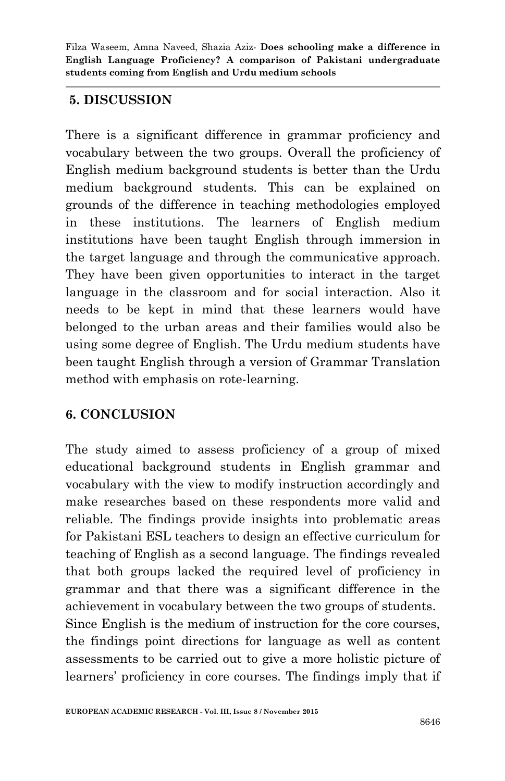### **5. DISCUSSION**

There is a significant difference in grammar proficiency and vocabulary between the two groups. Overall the proficiency of English medium background students is better than the Urdu medium background students. This can be explained on grounds of the difference in teaching methodologies employed in these institutions. The learners of English medium institutions have been taught English through immersion in the target language and through the communicative approach. They have been given opportunities to interact in the target language in the classroom and for social interaction. Also it needs to be kept in mind that these learners would have belonged to the urban areas and their families would also be using some degree of English. The Urdu medium students have been taught English through a version of Grammar Translation method with emphasis on rote-learning.

### **6. CONCLUSION**

The study aimed to assess proficiency of a group of mixed educational background students in English grammar and vocabulary with the view to modify instruction accordingly and make researches based on these respondents more valid and reliable. The findings provide insights into problematic areas for Pakistani ESL teachers to design an effective curriculum for teaching of English as a second language. The findings revealed that both groups lacked the required level of proficiency in grammar and that there was a significant difference in the achievement in vocabulary between the two groups of students. Since English is the medium of instruction for the core courses, the findings point directions for language as well as content assessments to be carried out to give a more holistic picture of learners' proficiency in core courses. The findings imply that if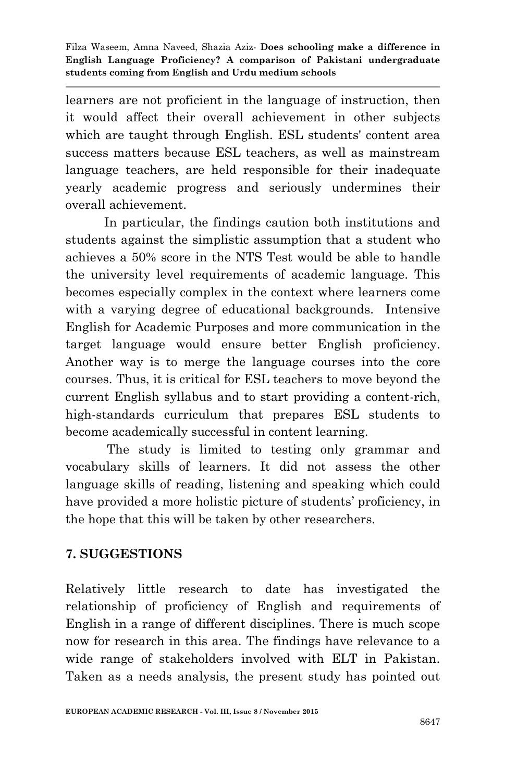learners are not proficient in the language of instruction, then it would affect their overall achievement in other subjects which are taught through English. ESL students' content area success matters because ESL teachers, as well as mainstream language teachers, are held responsible for their inadequate yearly academic progress and seriously undermines their overall achievement.

 In particular, the findings caution both institutions and students against the simplistic assumption that a student who achieves a 50% score in the NTS Test would be able to handle the university level requirements of academic language. This becomes especially complex in the context where learners come with a varying degree of educational backgrounds. Intensive English for Academic Purposes and more communication in the target language would ensure better English proficiency. Another way is to merge the language courses into the core courses. Thus, it is critical for ESL teachers to move beyond the current English syllabus and to start providing a content-rich, high-standards curriculum that prepares ESL students to become academically successful in content learning.

The study is limited to testing only grammar and vocabulary skills of learners. It did not assess the other language skills of reading, listening and speaking which could have provided a more holistic picture of students' proficiency, in the hope that this will be taken by other researchers.

# **7. SUGGESTIONS**

Relatively little research to date has investigated the relationship of proficiency of English and requirements of English in a range of different disciplines. There is much scope now for research in this area. The findings have relevance to a wide range of stakeholders involved with ELT in Pakistan. Taken as a needs analysis, the present study has pointed out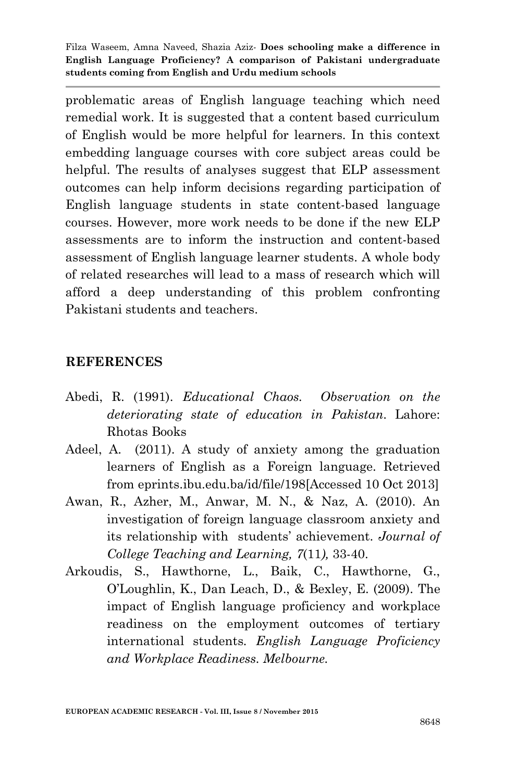problematic areas of English language teaching which need remedial work. It is suggested that a content based curriculum of English would be more helpful for learners. In this context embedding language courses with core subject areas could be helpful. The results of analyses suggest that ELP assessment outcomes can help inform decisions regarding participation of English language students in state content-based language courses. However, more work needs to be done if the new ELP assessments are to inform the instruction and content-based assessment of English language learner students. A whole body of related researches will lead to a mass of research which will afford a deep understanding of this problem confronting Pakistani students and teachers.

#### **REFERENCES**

- Abedi, R. (1991). *Educational Chaos. Observation on the deteriorating state of education in Pakistan*. Lahore: Rhotas Books
- Adeel, A. (2011). A study of anxiety among the graduation learners of English as a Foreign language. Retrieved from eprints.ibu.edu.ba/id/file/198[Accessed 10 Oct 2013]
- Awan, R., Azher, M., Anwar, M. N., & Naz, A. (2010). An investigation of foreign language classroom anxiety and its relationship with students" achievement. *Journal of College Teaching and Learning, 7*(11*),* 33-40.
- Arkoudis, S., Hawthorne, L., Baik, C., Hawthorne, G., O"Loughlin, K., Dan Leach, D., & Bexley, E. (2009). The impact of English language proficiency and workplace readiness on the employment outcomes of tertiary international students*. English Language Proficiency and Workplace Readiness. Melbourne.*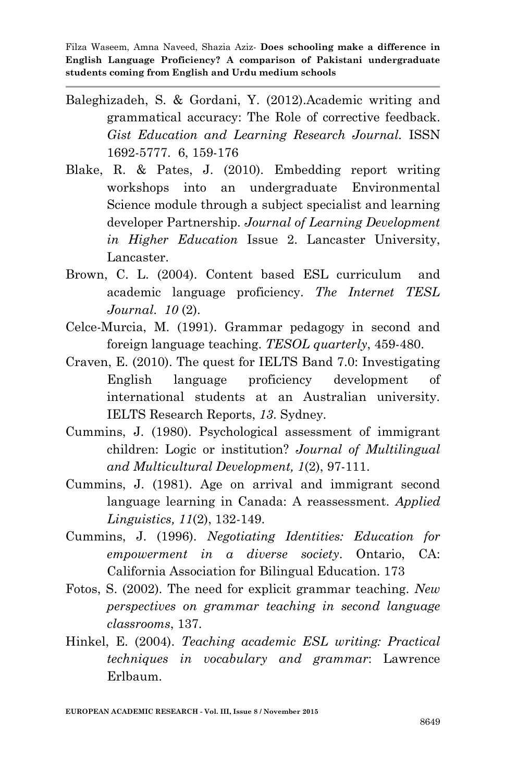- Baleghizadeh, S. & Gordani, Y. (2012).Academic writing and grammatical accuracy: The Role of corrective feedback. *Gist Education and Learning Research Journal.* ISSN 1692-5777. 6, 159-176
- Blake, R. & Pates, J. (2010). Embedding report writing workshops into an undergraduate Environmental Science module through a subject specialist and learning developer Partnership. *Journal of Learning Development in Higher Education* Issue 2. Lancaster University, Lancaster.
- Brown, C. L. (2004). Content based ESL curriculum and academic language proficiency. *The Internet TESL Journal*. *10* (2).
- Celce-Murcia, M. (1991). Grammar pedagogy in second and foreign language teaching. *TESOL quarterly*, 459-480.
- Craven, E. (2010). The quest for IELTS Band 7.0: Investigating English language proficiency development of international students at an Australian university. IELTS Research Reports, *13*. Sydney.
- Cummins, J. (1980). Psychological assessment of immigrant children: Logic or institution? *Journal of Multilingual and Multicultural Development, 1*(2), 97-111.
- Cummins, J. (1981). Age on arrival and immigrant second language learning in Canada: A reassessment. *Applied Linguistics, 11*(2), 132-149.
- Cummins, J. (1996). *Negotiating Identities: Education for empowerment in a diverse society*. Ontario, CA: California Association for Bilingual Education. 173
- Fotos, S. (2002). The need for explicit grammar teaching. *New perspectives on grammar teaching in second language classrooms*, 137.
- Hinkel, E. (2004). *Teaching academic ESL writing: Practical techniques in vocabulary and grammar*: Lawrence Erlbaum.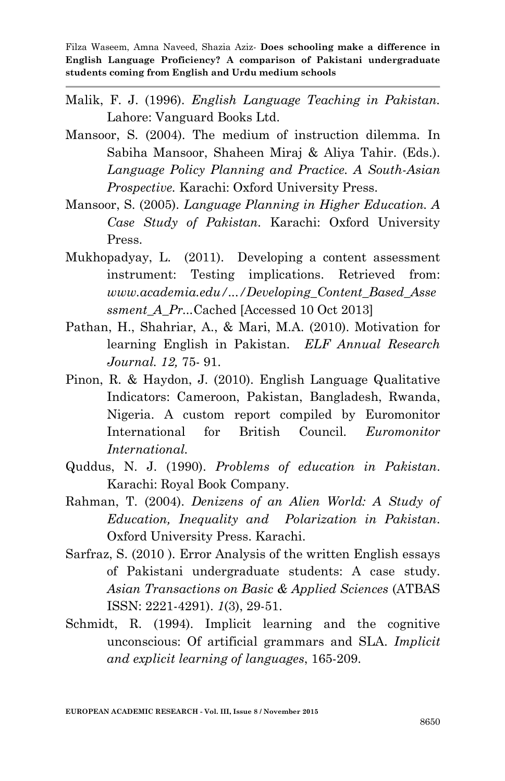- Malik, F. J. (1996). *English Language Teaching in Pakistan.* Lahore: Vanguard Books Ltd.
- Mansoor, S. (2004). The medium of instruction dilemma*.* In Sabiha Mansoor, Shaheen Miraj & Aliya Tahir. (Eds.). *Language Policy Planning and Practice. A South-Asian Prospective.* Karachi: Oxford University Press.
- Mansoor, S. (2005). *Language Planning in Higher Education. A Case Study of Pakistan.* Karachi: Oxford University Press.
- Mukhopadyay, L. (2011). Developing a content assessment instrument: Testing implications. Retrieved from: *www.academia.edu/.../Developing\_Content\_Based\_Asse ssment\_A\_Pr...*[Cached](http://webcache.googleusercontent.com/search?q=cache:U72dIECVtwUJ:www.academia.edu/839638/Developing_Content_Based_Assessment_A_Project+what+is+content-based+assessment%3F&cd=1&hl=en&ct=clnk&gl=uk) [Accessed 10 Oct 2013]
- Pathan, H., Shahriar, A., & Mari, M.A. (2010). Motivation for learning English in Pakistan. *ELF Annual Research Journal. 12,* 75- 91.
- Pinon, R. & Haydon, J. (2010). English Language Qualitative Indicators: Cameroon, Pakistan, Bangladesh, Rwanda, Nigeria. A custom report compiled by Euromonitor International for British Council. *Euromonitor International.*
- Quddus, N. J. (1990). *Problems of education in Pakistan*. Karachi: Royal Book Company.
- Rahman, T. (2004). *Denizens of an Alien World: A Study of Education, Inequality and Polarization in Pakistan*. Oxford University Press. Karachi.
- Sarfraz, S. (2010 ). Error Analysis of the written English essays of Pakistani undergraduate students: A case study. *Asian Transactions on Basic & Applied Sciences* (ATBAS ISSN: 2221-4291). *1*(3), 29-51.
- Schmidt, R. (1994). Implicit learning and the cognitive unconscious: Of artificial grammars and SLA. *Implicit and explicit learning of languages*, 165-209.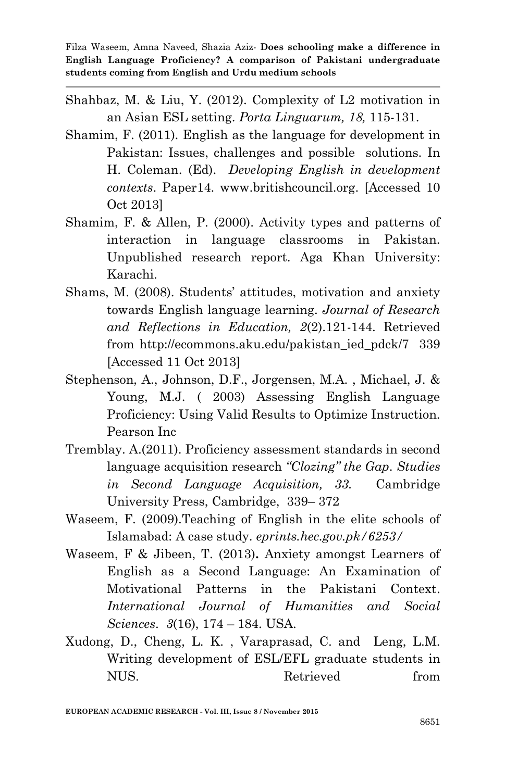- Shahbaz, M. & Liu, Y. (2012). Complexity of L2 motivation in an Asian ESL setting. *Porta Linguarum, 18,* 115-131.
- Shamim, F. (2011). English as the language for development in Pakistan: Issues, challenges and possible solutions. In H. Coleman. (Ed). *Developing English in development contexts*. Paper14. [www.britishcouncil.org.](http://www.britishcouncil.org/) [Accessed 10 Oct 2013]
- Shamim, F. & Allen, P. (2000). Activity types and patterns of interaction in language classrooms in Pakistan. Unpublished research report. Aga Khan University: Karachi.
- Shams, M. (2008). Students" attitudes, motivation and anxiety towards English language learning. *Journal of Research and Reflections in Education, 2*(2).121-144. Retrieved from [http://ecommons.aku.edu/pakistan\\_ied\\_pdck/7](http://ecommons.aku.edu/pakistan_ied_pdck/7) 339 [Accessed 11 Oct 2013]
- Stephenson, A., Johnson, D.F., Jorgensen, M.A. , Michael, J. & Young, M.J. ( 2003) Assessing English Language Proficiency: Using Valid Results to Optimize Instruction. Pearson Inc
- Tremblay. A.(2011). Proficiency assessment standards in second language acquisition research *"Clozing" the Gap*. *Studies in Second Language Acquisition, 33.* Cambridge University Press, Cambridge, 339– 372
- Waseem, F. (2009).Teaching of English in the elite schools of Islamabad: A case study. *eprints.hec.gov.pk/6253/*
- Waseem, F & Jibeen, T. (2013)**.** Anxiety amongst Learners of English as a Second Language: An Examination of Motivational Patterns in the Pakistani Context. *International Journal of Humanities and Social Sciences*. *3*(16), 174 – 184. USA.
- Xudong, D., Cheng, L. K. , Varaprasad, C. and Leng, L.M. Writing development of ESL/EFL graduate students in NUS. Retrieved from